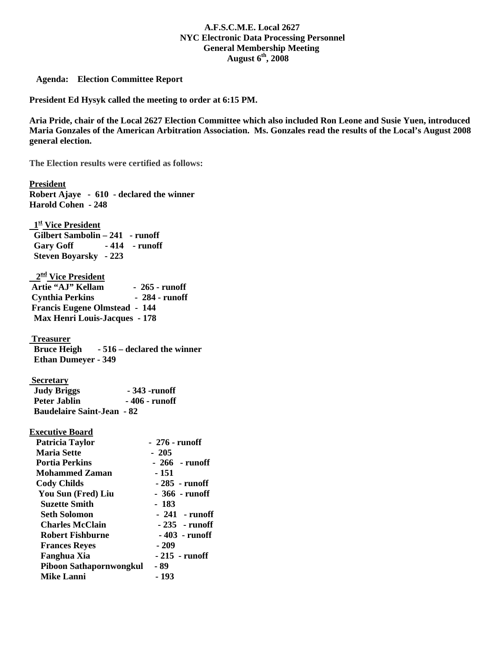## **A.F.S.C.M.E. Local 2627 NYC Electronic Data Processing Personnel General Membership Meeting August 6th, 2008**

 **Agenda: Election Committee Report** 

**President Ed Hysyk called the meeting to order at 6:15 PM.** 

**Aria Pride, chair of the Local 2627 Election Committee which also included Ron Leone and Susie Yuen, introduced Maria Gonzales of the American Arbitration Association. Ms. Gonzales read the results of the Local's August 2008 general election.** 

**The Election results were certified as follows:** 

**President**

| Robert Ajaye - 610 - declared the winner              |                 |
|-------------------------------------------------------|-----------------|
| <b>Harold Cohen - 248</b>                             |                 |
|                                                       |                 |
| 1st Vice President                                    |                 |
| Gilbert Sambolin - 241 - runoff                       |                 |
| -414 - runoff<br><b>Gary Goff</b>                     |                 |
| <b>Steven Boyarsky</b> - 223                          |                 |
|                                                       |                 |
| 2 <sup>nd</sup> Vice President                        |                 |
| Artie "AJ" Kellam                                     | - 265 - runoff  |
| <b>Cynthia Perkins</b>                                | $-284$ - runoff |
| <b>Francis Eugene Olmstead - 144</b>                  |                 |
| <b>Max Henri Louis-Jacques - 178</b>                  |                 |
|                                                       |                 |
| <b>Treasurer</b>                                      |                 |
| Bruce Heigh - 516 – declared the winner               |                 |
| <b>Ethan Dumeyer - 349</b>                            |                 |
|                                                       |                 |
| <b>Secretary</b>                                      |                 |
| <b>Judy Briggs</b><br>- 343 -runoff<br>- 406 - runoff |                 |
| <b>Peter Jablin</b>                                   | - 406 - runoff  |
| <b>Baudelaire Saint-Jean - 82</b>                     |                 |
|                                                       |                 |
| <b>Executive Board</b>                                |                 |
| <b>Patricia Taylor</b>                                | - 276 - runoff  |
| <b>Maria Sette</b>                                    | $-205$          |
| <b>Portia Perkins</b>                                 | $-266$ -runoff  |
| <b>Mohammed Zaman</b>                                 | $-151$          |
| <b>Cody Childs</b>                                    | - 285 - runoff  |
| You Sun (Fred) Liu                                    | - 366 - runoff  |
| <b>Suzette Smith</b>                                  | - 183           |
| <b>Seth Solomon</b>                                   | $-241$ - runoff |
| <b>Charles McClain</b>                                | $-235$ - runoff |
| <b>Robert Fishburne</b>                               | $-403$ - runoff |
| <b>Frances Reyes</b>                                  | $-209$          |
| <b>Fanghua Xia</b>                                    | $-215$ - runoff |
| Piboon Sathapornwongkul                               | - 89            |
| <b>Mike Lanni</b>                                     | $-193$          |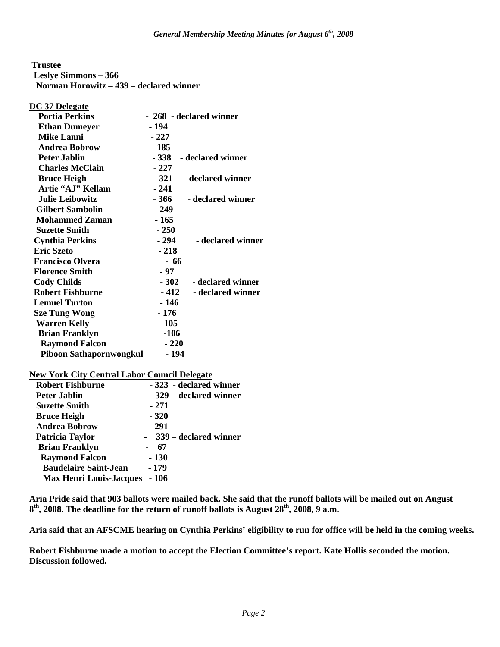**Trustee**

 **Leslye Simmons – 366** 

 **Norman Horowitz – 439 – declared winner** 

**DC 37 Delegate**

| - 268 - declared winner          |
|----------------------------------|
| - 194                            |
| - 227                            |
| - 185                            |
| - declared winner<br>- 338       |
| - 227                            |
| - 321 - declared winner          |
| $-241$                           |
| - 366<br>- declared winner       |
| $-249$                           |
| - 165                            |
| $-250$                           |
| - 294<br>- declared winner       |
| $-218$                           |
| - 66                             |
| - 97                             |
| $-302$<br>- declared winner      |
| - 412<br>- declared winner       |
| - 146                            |
| - 176                            |
| - 105                            |
| $-106$                           |
| $-220$                           |
| Piboon Sathapornwongkul<br>- 194 |
|                                  |

| <b>New York City Central Labor Council Delegate</b> |  |
|-----------------------------------------------------|--|
|-----------------------------------------------------|--|

| <b>Robert Fishburne</b>        | - 323 - declared winner |
|--------------------------------|-------------------------|
| Peter Jablin                   | - 329 - declared winner |
| <b>Suzette Smith</b>           | $-271$                  |
| <b>Bruce Heigh</b>             | $-320$                  |
| <b>Andrea Bobrow</b>           | 291                     |
| Patricia Taylor                | - 339 – declared winner |
| <b>Brian Franklyn</b>          | 67                      |
| <b>Raymond Falcon</b>          | - 130                   |
| <b>Baudelaire Saint-Jean</b>   | - 179                   |
| <b>Max Henri Louis-Jacques</b> | - 106                   |

**Aria Pride said that 903 ballots were mailed back. She said that the runoff ballots will be mailed out on August**  8<sup>th</sup>, 2008. The deadline for the return of runoff ballots is August 28<sup>th</sup>, 2008, 9 a.m.

**Aria said that an AFSCME hearing on Cynthia Perkins' eligibility to run for office will be held in the coming weeks.** 

**Robert Fishburne made a motion to accept the Election Committee's report. Kate Hollis seconded the motion. Discussion followed.**